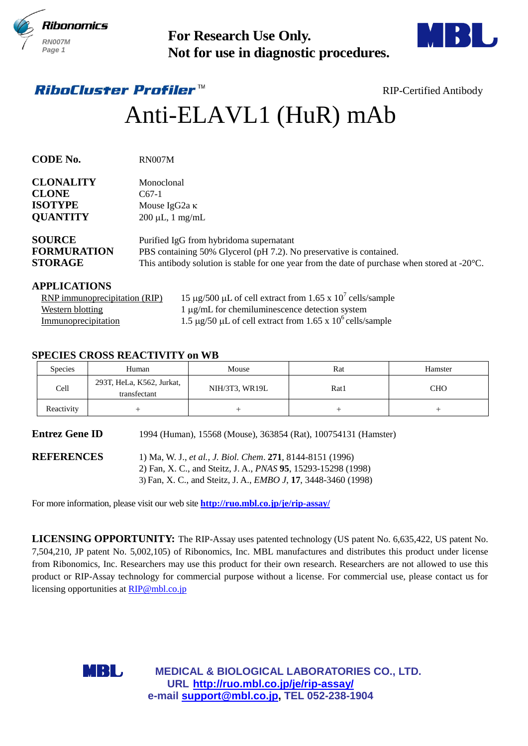



# Anti-ELAVL1 (HuR) mAb

| <b>RN007M</b><br>Page 1                                               |                                                                             | <b>For Research Use Only.</b><br>Not for use in diagnostic procedures.                                                                                                                                                                                                                                                                                                                                                                                                                                                       |        |                               |
|-----------------------------------------------------------------------|-----------------------------------------------------------------------------|------------------------------------------------------------------------------------------------------------------------------------------------------------------------------------------------------------------------------------------------------------------------------------------------------------------------------------------------------------------------------------------------------------------------------------------------------------------------------------------------------------------------------|--------|-------------------------------|
|                                                                       | <i><b>RiboCluster Profiler™</b></i>                                         |                                                                                                                                                                                                                                                                                                                                                                                                                                                                                                                              |        | <b>RIP-Certified Antibody</b> |
|                                                                       |                                                                             | Anti-ELAVL1 (HuR) mAb                                                                                                                                                                                                                                                                                                                                                                                                                                                                                                        |        |                               |
| <b>CODE No.</b>                                                       | <b>RN007M</b>                                                               |                                                                                                                                                                                                                                                                                                                                                                                                                                                                                                                              |        |                               |
| <b>CLONALITY</b><br><b>CLONE</b><br><b>ISOTYPE</b><br><b>QUANTITY</b> | Monoclonal<br>$C67-1$<br>Mouse IgG <sub>2a</sub> κ<br>$200 \mu L$ , 1 mg/mL |                                                                                                                                                                                                                                                                                                                                                                                                                                                                                                                              |        |                               |
| <b>SOURCE</b><br><b>FORMURATION</b><br><b>STORAGE</b>                 |                                                                             | Purified IgG from hybridoma supernatant<br>PBS containing 50% Glycerol (pH 7.2). No preservative is contained.<br>This antibody solution is stable for one year from the date of purchase when stored at $-20^{\circ}$ C.                                                                                                                                                                                                                                                                                                    |        |                               |
| <b>APPLICATIONS</b><br><b>Western blotting</b><br>Immunoprecipitation | <b>RNP</b> immunoprecipitation (RIP)                                        | 15 µg/500 µL of cell extract from 1.65 x $10^7$ cells/sample<br>1 µg/mL for chemiluminescence detection system<br>1.5 $\mu$ g/50 $\mu$ L of cell extract from 1.65 x 10 <sup>6</sup> cells/sample                                                                                                                                                                                                                                                                                                                            |        |                               |
| <b>Species</b>                                                        | <b>SPECIES CROSS REACTIVITY on WB</b><br>Human                              | Mouse                                                                                                                                                                                                                                                                                                                                                                                                                                                                                                                        | Rat    | Hamster                       |
| Cell                                                                  | 293T, HeLa, K562, Jurkat,<br>transfectant                                   | NIH/3T3, WR19L                                                                                                                                                                                                                                                                                                                                                                                                                                                                                                               | Rat1   | <b>CHO</b>                    |
| Reactivity                                                            | $^{+}$                                                                      | $^{+}$                                                                                                                                                                                                                                                                                                                                                                                                                                                                                                                       | $^{+}$ | $^{+}$                        |
| <b>Entrez Gene ID</b>                                                 |                                                                             | 1994 (Human), 15568 (Mouse), 363854 (Rat), 100754131 (Hamster)                                                                                                                                                                                                                                                                                                                                                                                                                                                               |        |                               |
| <b>REFERENCES</b>                                                     |                                                                             | 1) Ma, W. J., et al., J. Biol. Chem. 271, 8144-8151 (1996)<br>2) Fan, X. C., and Steitz, J. A., <i>PNAS</i> 95, 15293-15298 (1998)<br>3) Fan, X. C., and Steitz, J. A., <i>EMBO J</i> , 17, 3448-3460 (1998)                                                                                                                                                                                                                                                                                                                 |        |                               |
|                                                                       |                                                                             | For more information, please visit our web site <b>http://ruo.mbl.co.jp/je/rip-assay/</b>                                                                                                                                                                                                                                                                                                                                                                                                                                    |        |                               |
|                                                                       | licensing opportunities at RIP@mbl.co.jp<br>MBL                             | LICENSING OPPORTUNITY: The RIP-Assay uses patented technology (US patent No. 6,635,422, US patent No.<br>7,504,210, JP patent No. 5,002,105) of Ribonomics, Inc. MBL manufactures and distributes this product under license<br>from Ribonomics, Inc. Researchers may use this product for their own research. Researchers are not allowed to use this<br>product or RIP-Assay technology for commercial purpose without a license. For commercial use, please contact us for<br>MEDICAL & BIOLOGICAL LABORATORIES CO., LTD. |        |                               |
|                                                                       |                                                                             | URL http://ruo.mbl.co.jp/je/rip-assay/<br>e-mail support@mbl.co.jp, TEL 052-238-1904                                                                                                                                                                                                                                                                                                                                                                                                                                         |        |                               |

### **APPLICATIONS**

| RNP immunoprecipitation (RIP) | 15 µg/500 µL of cell extract from 1.65 x $10^7$ cells/sample                    |
|-------------------------------|---------------------------------------------------------------------------------|
| Western blotting              | $1 \mu$ g/mL for chemiluminescence detection system                             |
| Immunoprecipitation           | 1.5 $\mu$ g/50 $\mu$ L of cell extract from 1.65 x 10 <sup>6</sup> cells/sample |

# **SPECIES CROSS REACTIVITY on WB**

| <b>Species</b> | Human                                     | Mouse          | Rat  | Hamster |
|----------------|-------------------------------------------|----------------|------|---------|
| Cell           | 293T, HeLa, K562, Jurkat,<br>transfectant | NIH/3T3, WR19L | Rat1 | CHO     |
| Reactivity     |                                           |                |      |         |

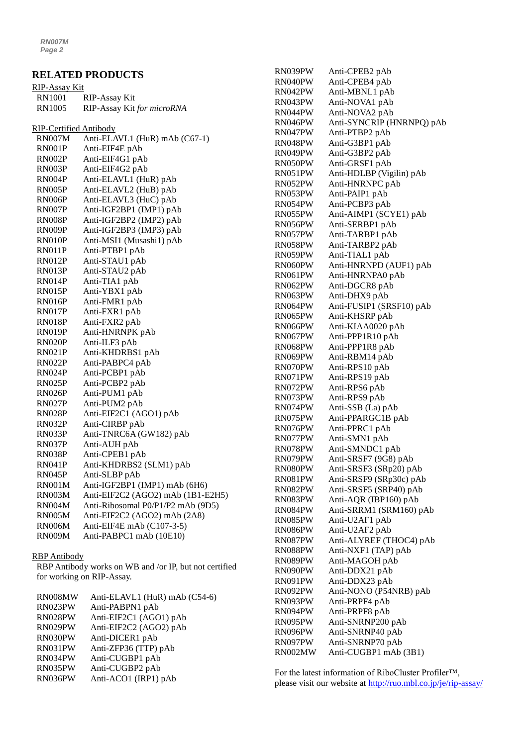*RN007M Page 2*

# **RELATED PRODUCTS**

| <b>RIP-Assay Kit</b>          |                                   |
|-------------------------------|-----------------------------------|
| <b>RN1001</b>                 | RIP-Assay Kit                     |
| <b>RN1005</b>                 | RIP-Assay Kit for microRNA        |
| <b>RIP-Certified Antibody</b> |                                   |
| <b>RN007M</b>                 | Anti-ELAVL1 (HuR) mAb (C67-1)     |
| RN001P                        | Anti-EIF4E pAb                    |
| RN002P                        | Anti-EIF4G1 pAb                   |
| RN003P                        | Anti-EIF4G2 pAb                   |
| RN004P                        | Anti-ELAVL1 (HuR) pAb             |
| RN005P                        | Anti-ELAVL2 (HuB) pAb             |
| RN006P                        | Anti-ELAVL3 (HuC) pAb             |
| RN007P                        | Anti-IGF2BP1 (IMP1) pAb           |
| RN008P                        | Anti-IGF2BP2 (IMP2) pAb           |
| RN009P                        | Anti-IGF2BP3 (IMP3) pAb           |
| RN010P                        | Anti-MSI1 (Musashi1) pAb          |
| RN011P                        | Anti-PTBP1 pAb                    |
| RN012P                        | Anti-STAU1 pAb                    |
| RN013P                        | Anti-STAU2 pAb                    |
| RN014P                        | Anti-TIA1 pAb                     |
| <b>RN015P</b>                 | Anti-YBX1 pAb                     |
| RN016P                        | Anti-FMR1 pAb                     |
| RN017P                        | Anti-FXR1 pAb                     |
| RN018P                        | Anti-FXR2 pAb                     |
| RN019P                        | Anti-HNRNPK pAb                   |
| RN020P                        | Anti-ILF3 pAb                     |
| <b>RN021P</b>                 | Anti-KHDRBS1 pAb                  |
| RN022P                        | Anti-PABPC4 pAb                   |
| RN024P                        | Anti-PCBP1 pAb                    |
| RN025P                        | Anti-PCBP2 pAb                    |
| RN026P                        | Anti-PUM1 pAb                     |
| RN027P                        | Anti-PUM2 pAb                     |
| RN028P                        | Anti-EIF2C1 (AGO1) pAb            |
| RN032P                        | Anti-CIRBP pAb                    |
| RN033P                        | Anti-TNRC6A (GW182) pAb           |
| RN037P                        | Anti-AUH pAb                      |
| <b>RN038P</b>                 | Anti-CPEB1 pAb                    |
| RN041P                        | Anti-KHDRBS2 (SLM1) pAb           |
| RN045P                        | Anti-SLBP pAb                     |
| RN001M                        | Anti-IGF2BP1 (IMP1) mAb (6H6)     |
| RN003M                        | Anti-EIF2C2 (AGO2) mAb (1B1-E2H5) |
| RN004M                        | Anti-Ribosomal P0/P1/P2 mAb (9D5) |
| <b>RN005M</b>                 | Anti-EIF2C2 (AGO2) mAb (2A8)      |
| <b>RN006M</b>                 | Anti-EIF4E mAb (C107-3-5)         |
| <b>RN009M</b>                 | Anti-PABPC1 mAb (10E10)           |
|                               |                                   |

#### RBP Antibody

RBP Antibody works on WB and /or IP, but not certified for working on RIP-Assay.

| RN008MW | Anti-ELAVL1 (HuR) mAb (C54-6) |
|---------|-------------------------------|
| RN023PW | Anti-PABPN1 pAb               |
| RN028PW | Anti-EIF2C1 (AGO1) pAb        |
| RN029PW | Anti-EIF2C2 (AGO2) pAb        |
| RN030PW | Anti-DICER1 pAb               |
| RN031PW | Anti-ZFP36 (TTP) pAb          |
| RN034PW | Anti-CUGBP1 pAb               |
| RN035PW | Anti-CUGBP2 pAb               |
| RN036PW | Anti-ACO1 (IRP1) pAb          |

| RN039PW | Anti-CPEB2 pAb            |
|---------|---------------------------|
| RN040PW | Anti-CPEB4 pAb            |
| RN042PW | Anti-MBNL1 pAb            |
| RN043PW | Anti-NOVA1 pAb            |
| RN044PW | Anti-NOVA2 pAb            |
| RN046PW | Anti-SYNCRIP (HNRNPQ) pAb |
| RN047PW | Anti-PTBP2 pAb            |
| RN048PW | Anti-G3BP1 pAb            |
| RN049PW | Anti-G3BP2 pAb            |
| RN050PW | Anti-GRSF1 pAb            |
| RN051PW | Anti-HDLBP (Vigilin) pAb  |
| RN052PW | Anti-HNRNPC pAb           |
| RN053PW | Anti-PAIP1 pAb            |
| RN054PW | Anti-PCBP3 pAb            |
| RN055PW | Anti-AIMP1 (SCYE1) pAb    |
| RN056PW | Anti-SERBP1 pAb           |
| RN057PW | Anti-TARBP1 pAb           |
| RN058PW | Anti-TARBP2 pAb           |
| RN059PW | Anti-TIAL1 pAb            |
| RN060PW | Anti-HNRNPD (AUF1) pAb    |
| RN061PW | Anti-HNRNPA0 pAb          |
| RN062PW | Anti-DGCR8 pAb            |
| RN063PW | Anti-DHX9 pAb             |
| RN064PW | Anti-FUSIP1 (SRSF10) pAb  |
| RN065PW | Anti-KHSRP pAb            |
| RN066PW | Anti-KIAA0020 pAb         |
| RN067PW | Anti-PPP1R10 pAb          |
| RN068PW | Anti-PPP1R8 pAb           |
| RN069PW | Anti-RBM14 pAb            |
| RN070PW | Anti-RPS10 pAb            |
| RN071PW | Anti-RPS19 pAb            |
| RN072PW | Anti-RPS6 pAb             |
| RN073PW | Anti-RPS9 pAb             |
| RN074PW | Anti-SSB (La) pAb         |
| RN075PW | Anti-PPARGC1B pAb         |
| RN076PW | Anti-PPRC1 pAb            |
| RN077PW | Anti-SMN1 pAb             |
| RN078PW | Anti-SMNDC1 pAb           |
| RN079PW | Anti-SRSF7 (9G8) pAb      |
| RN080PW | Anti-SRSF3 (SRp20) pAb    |
| RN081PW | Anti-SRSF9 (SRp30c) pAb   |
| RN082PW | Anti-SRSF5 (SRP40) pAb    |
| RN083PW | Anti-AQR (IBP160) pAb     |
| RN084PW | Anti-SRRM1 (SRM160) pAb   |
| RN085PW | Anti-U2AF1 pAb            |
| RN086PW | Anti-U2AF2 pAb            |
| RN087PW | Anti-ALYREF (THOC4) pAb   |
| RN088PW | Anti-NXF1 (TAP) pAb       |
| RN089PW | Anti-MAGOH pAb            |
| RN090PW | Anti-DDX21 pAb            |
| RN091PW | Anti-DDX23 pAb            |
| RN092PW | Anti-NONO (P54NRB) pAb    |
| RN093PW | Anti-PRPF4 pAb            |
| RN094PW | Anti-PRPF8 pAb            |
| RN095PW | Anti-SNRNP200 pAb         |
| RN096PW | Anti-SNRNP40 pAb          |
| RN097PW | Anti-SNRNP70 pAb          |
| RN002MW | Anti-CUGBP1 mAb (3B1)     |

For the latest information of RiboCluster Profiler™, please visit our website at [http://ruo.mbl.co.jp/je/rip-assay/](https://ruo.mbl.co.jp/je/rip-assay/)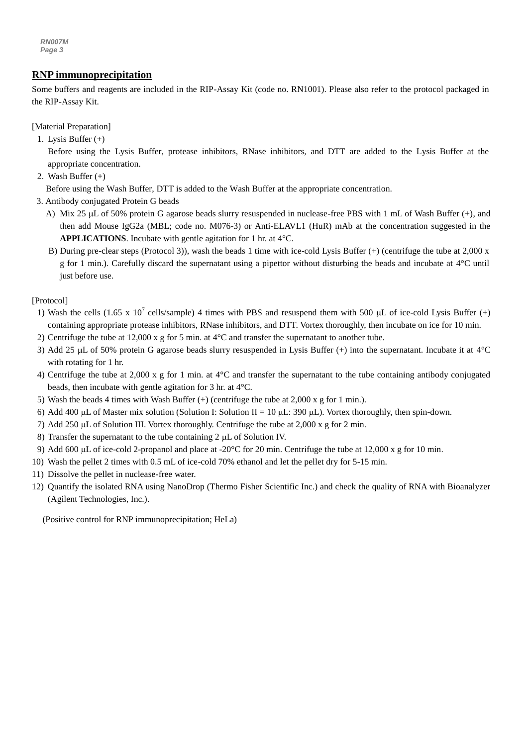*RN007M Page 3*

# *g* **RNP immunoprecipitation**

**Example 1.1 Example 1.1 example 1.1 example 1.1 example 1.1 example 1.1 example 1.1 example 1.1 example 1.1 example 1.1 example 1.1 example 1.1 example 1.1 example 1.1 example 1.1 example 1.1** the RIP-Assay Kit.

[Material Preparation]

- 1. Lysis Buffer (+)
	- Before using the Lysis Buffer, protease inhibitors, RNase inhibitors, and DTT are added to the Lysis Buffer at the appropriate concentration.
- 2. Wash Buffer (+)

Before using the Wash Buffer, DTT is added to the Wash Buffer at the appropriate concentration.

- 3. Antibody conjugated Protein G beads
	- A) Mix 25 µL of 50% protein G agarose beads slurry resuspended in nuclease-free PBS with 1 mL of Wash Buffer (+), and then add Mouse IgG2a (MBL; code no. M076-3) or Anti-ELAVL1 (HuR) mAb at the concentration suggested in the **APPLICATIONS**. Incubate with gentle agitation for 1 hr. at 4°C.
	- B) During pre-clear steps (Protocol 3)), wash the beads 1 time with ice-cold Lysis Buffer (+) (centrifuge the tube at 2,000 x g for 1 min.). Carefully discard the supernatant using a pipettor without disturbing the beads and incubate at 4°C until just before use.

[Protocol]

- 1) Wash the cells (1.65 x 10<sup>7</sup> cells/sample) 4 times with PBS and resuspend them with 500 µL of ice-cold Lysis Buffer (+) containing appropriate protease inhibitors, RNase inhibitors, and DTT. Vortex thoroughly, then incubate on ice for 10 min.
- 2) Centrifuge the tube at 12,000 x g for 5 min. at 4°C and transfer the supernatant to another tube.
- 3) Add 25  $\mu$ L of 50% protein G agarose beads slurry resuspended in Lysis Buffer (+) into the supernatant. Incubate it at 4°C with rotating for 1 hr.
- 4) Centrifuge the tube at 2,000 x g for 1 min. at 4°C and transfer the supernatant to the tube containing antibody conjugated beads, then incubate with gentle agitation for 3 hr. at 4°C.
- 5) Wash the beads 4 times with Wash Buffer  $(+)$  (centrifuge the tube at 2,000 x g for 1 min.).
- 6) Add 400 µL of Master mix solution (Solution I: Solution II = 10 µL: 390 µL). Vortex thoroughly, then spin-down.
- 7) Add 250  $\mu$ L of Solution III. Vortex thoroughly. Centrifuge the tube at 2,000 x g for 2 min.
- 8) Transfer the supernatant to the tube containing  $2 \mu L$  of Solution IV.
- 9) Add 600  $\mu$ L of ice-cold 2-propanol and place at -20 $\degree$ C for 20 min. Centrifuge the tube at 12,000 x g for 10 min.
- 10) Wash the pellet 2 times with 0.5 mL of ice-cold 70% ethanol and let the pellet dry for 5-15 min.
- 11) Dissolve the pellet in nuclease-free water.
- 12) Quantify the isolated RNA using NanoDrop (Thermo Fisher Scientific Inc.) and check the quality of RNA with Bioanalyzer (Agilent Technologies, Inc.).

(Positive control for RNP immunoprecipitation; HeLa)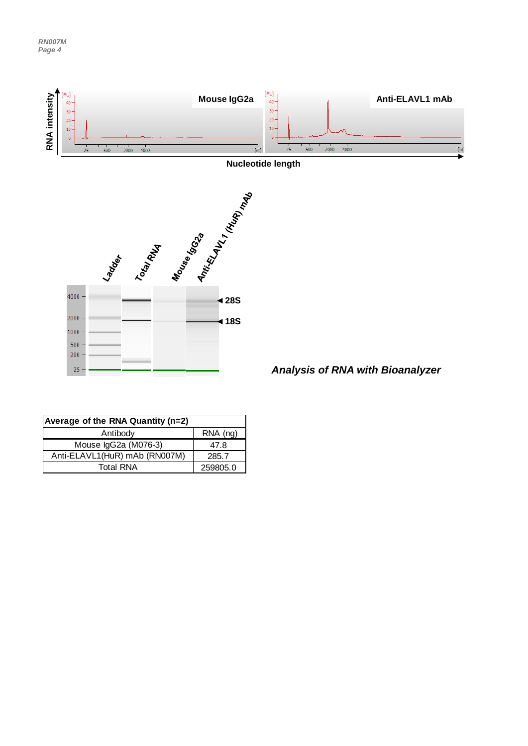

| Average of the RNA Quantity (n=2) |          |  |
|-----------------------------------|----------|--|
| Antibody                          | RNA (ng) |  |
| Mouse IgG2a (M076-3)              | 47.8     |  |
| Anti-ELAVL1(HuR) mAb (RN007M)     | 285.7    |  |
| <b>Total RNA</b>                  | 259805.0 |  |

*Analysis of RNA with Bioanalyzer*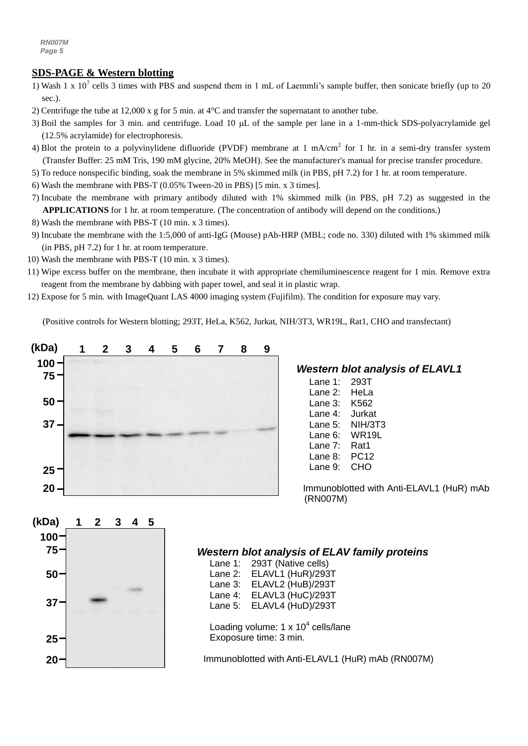# **SDS-PAGE & Western blotting**

- 1) Wash 1 x  $10^7$  cells 3 times with PBS and suspend them in 1 mL of Laemmli's sample buffer, then sonicate briefly (up to 20 sec.).
- 2) Centrifuge the tube at 12,000 x g for 5 min. at 4°C and transfer the supernatant to another tube.
- 3) Boil the samples for 3 min. and centrifuge. Load 10  $\mu$ L of the sample per lane in a 1-mm-thick SDS-polyacrylamide gel (12.5% acrylamide) for electrophoresis.
- 4) Blot the protein to a polyvinylidene difluoride (PVDF) membrane at 1 mA/cm<sup>2</sup> for 1 hr. in a semi-dry transfer system (Transfer Buffer: 25 mM Tris, 190 mM glycine, 20% MeOH). See the manufacturer's manual for precise transfer procedure.
- 5) To reduce nonspecific binding, soak the membrane in 5% skimmed milk (in PBS, pH 7.2) for 1 hr. at room temperature.
- 6) Wash the membrane with PBS-T (0.05% Tween-20 in PBS) [5 min. x 3 times].
- 7) Incubate the membrane with primary antibody diluted with 1% skimmed milk (in PBS, pH 7.2) as suggested in the **APPLICATIONS** for 1 hr. at room temperature. (The concentration of antibody will depend on the conditions.)
- 8) Wash the membrane with PBS-T (10 min. x 3 times).
- 9) Incubate the membrane with the 1:5,000 of [anti-IgG \(Mouse\) pAb-HRP](http://ruo.mbl.co.jp/g/dtl/A/330/) (MBL; code no. 330) diluted with 1% skimmed milk (in PBS, pH 7.2) for 1 hr. at room temperature.
- 10) Wash the membrane with PBS-T (10 min. x 3 times).
- 11) Wipe excess buffer on the membrane, then incubate it with appropriate chemiluminescence reagent for 1 min. Remove extra reagent from the membrane by dabbing with paper towel, and seal it in plastic wrap.
- 12) Expose for 5 min. with ImageQuant LAS 4000 imaging system (Fujifilm). The condition for exposure may vary.

(Positive controls for Western blotting; 293T, HeLa, K562, Jurkat, NIH/3T3, WR19L, Rat1, CHO and transfectant)



# *Western blot analysis of ELAVL1*

- Lane 1: 293T Lane 2: HeLa Lane 3: K562 Lane 4: Jurkat Lane 5: NIH/3T3 Lane 6: WR19L Lane 7: Rat1 Lane 8: PC12
- Lane 9: CHO

Immunoblotted with Anti-ELAVL1 (HuR) mAb (RN007M)